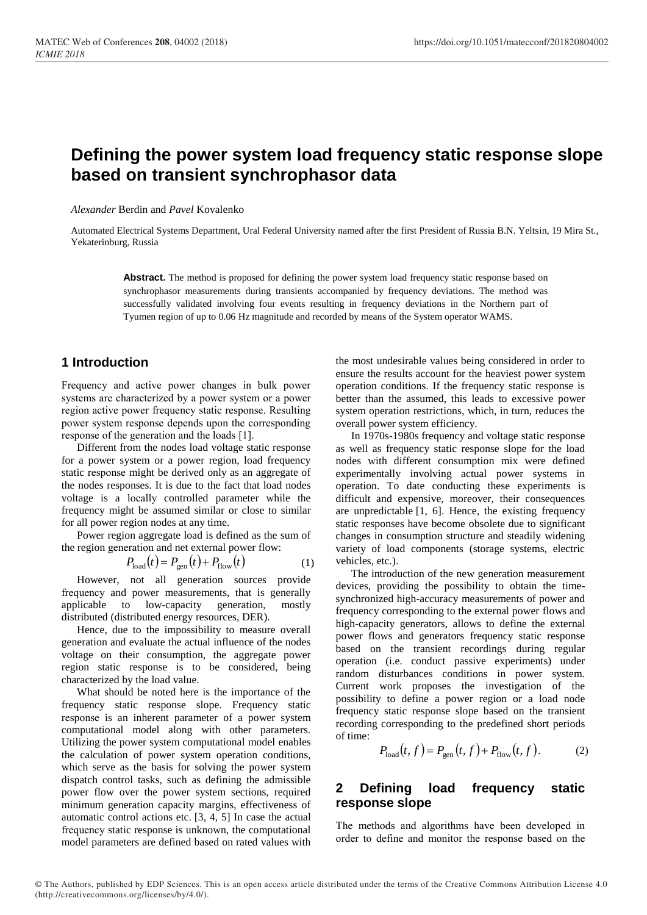# **Defining the power system load frequency static response slope based on transient synchrophasor data**

*Alexander* Berdin and *Pavel* Kovalenko

Automated Electrical Systems Department, Ural Federal University named after the first President of Russia B.N. Yeltsin, 19 Mira St., Yekaterinburg, Russia

> Abstract. The method is proposed for defining the power system load frequency static response based on synchrophasor measurements during transients accompanied by frequency deviations. The method was successfully validated involving four events resulting in frequency deviations in the Northern part of Tyumen region of up to 0.06 Hz magnitude and recorded by means of the System operator WAMS.

## **1 Introduction**

Frequency and active power changes in bulk power systems are characterized by a power system or a power region active power frequency static response. Resulting power system response depends upon the corresponding response of the generation and the loads [1].

Different from the nodes load voltage static response for a power system or a power region, load frequency static response might be derived only as an aggregate of the nodes responses. It is due to the fact that load nodes voltage is a locally controlled parameter while the frequency might be assumed similar or close to similar for all power region nodes at any time.

Power region aggregate load is defined as the sum of the region generation and net external power flow:

$$
P_{\text{load}}(t) = P_{\text{gen}}(t) + P_{\text{flow}}(t) \tag{1}
$$

However, not all generation sources provide frequency and power measurements, that is generally applicable to low-capacity generation, mostly distributed (distributed energy resources, DER).

Hence, due to the impossibility to measure overall generation and evaluate the actual influence of the nodes voltage on their consumption, the aggregate power region static response is to be considered, being characterized by the load value.

What should be noted here is the importance of the frequency static response slope. Frequency static response is an inherent parameter of a power system computational model along with other parameters. Utilizing the power system computational model enables the calculation of power system operation conditions, which serve as the basis for solving the power system dispatch control tasks, such as defining the admissible power flow over the power system sections, required minimum generation capacity margins, effectiveness of automatic control actions etc. [3, 4, 5] In case the actual frequency static response is unknown, the computational model parameters are defined based on rated values with

the most undesirable values being considered in order to ensure the results account for the heaviest power system operation conditions. If the frequency static response is better than the assumed, this leads to excessive power system operation restrictions, which, in turn, reduces the overall power system efficiency.

In 1970s-1980s frequency and voltage static response as well as frequency static response slope for the load nodes with different consumption mix were defined experimentally involving actual power systems in operation. To date conducting these experiments is difficult and expensive, moreover, their consequences are unpredictable [1, 6]. Hence, the existing frequency static responses have become obsolete due to significant changes in consumption structure and steadily widening variety of load components (storage systems, electric vehicles, etc.).

The introduction of the new generation measurement devices, providing the possibility to obtain the timesynchronized high-accuracy measurements of power and frequency corresponding to the external power flows and high-capacity generators, allows to define the external power flows and generators frequency static response based on the transient recordings during regular operation (i.e. conduct passive experiments) under random disturbances conditions in power system. Current work proposes the investigation of the possibility to define a power region or a load node frequency static response slope based on the transient recording corresponding to the predefined short periods of time:

$$
P_{\text{load}}(t, f) = P_{\text{gen}}(t, f) + P_{\text{flow}}(t, f). \tag{2}
$$

## **2 Defining load frequency static response slope**

The methods and algorithms have been developed in order to define and monitor the response based on the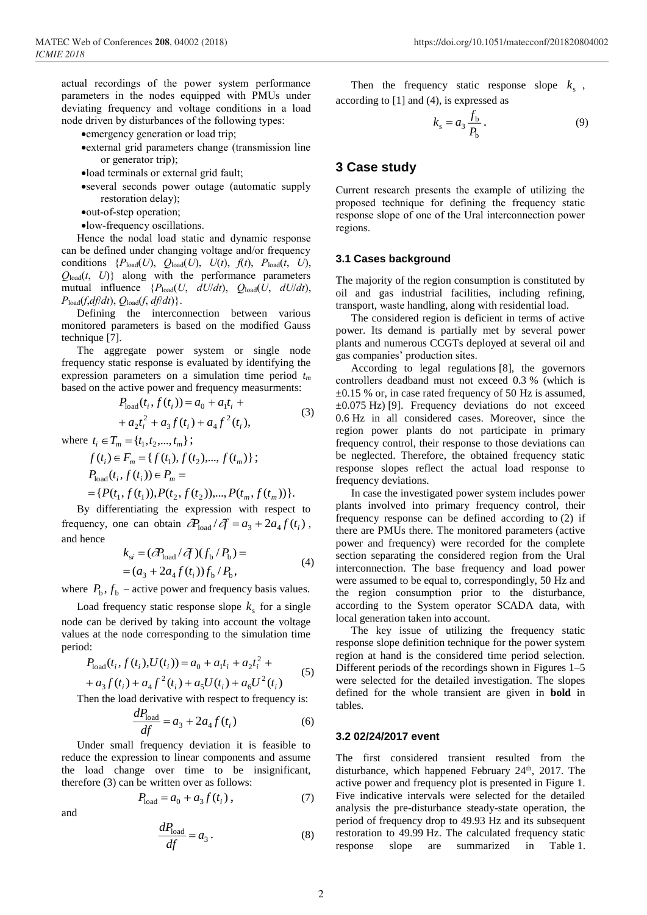actual recordings of the power system performance parameters in the nodes equipped with PMUs under deviating frequency and voltage conditions in a load node driven by disturbances of the following types:

- emergency generation or load trip;
- external grid parameters change (transmission line or generator trip);
- load terminals or external grid fault;
- several seconds power outage (automatic supply restoration delay);
- out-of-step operation;
- low-frequency oscillations.

Hence the nodal load static and dynamic response can be defined under changing voltage and/or frequency conditions  ${P_{load}(U), Q_{load}(U), U(t), f(t), P_{load}(t, U)},$  $Q_{load}(t, U)$ } along with the performance parameters mutual influence  $\{P_{\text{load}}(U, dU/dt), Q_{\text{load}}(U, dU/dt)\}$  $P_{load}(f, df/dt), Q_{load}(f, df/dt)$ .

Defining the interconnection between various monitored parameters is based on the modified Gauss technique [7].

The aggregate power system or single node frequency static response is evaluated by identifying the expression parameters on a simulation time period *t<sup>m</sup>* based on the active power and frequency measurments:

$$
P_{\text{load}}(t_i, f(t_i)) = a_0 + a_1 t_i ++ a_2 t_i^2 + a_3 f(t_i) + a_4 f^2(t_i),
$$
\n(3)

where  $t_i \in T_m = \{t_1, t_2, ..., t_m\};$ 

$$
f(t_i) \in F_m = \{f(t_1), f(t_2), \dots, f(t_m)\};
$$
  
\n
$$
P_{\text{load}}(t_i, f(t_i)) \in P_m =
$$
  
\n
$$
= \{P(t_1, f(t_1)), P(t_2, f(t_2)), \dots, P(t_m, f(t_m))\}.
$$

By differentiating the expression with respect to frequency, one can obtain  $\partial_{\text{load}}^p / \partial f = a_3 + 2a_4 f(t_i)$ , and hence

$$
k_{si} = (\partial P_{load} / \partial f)(f_b / P_b) =
$$
  
=  $(a_3 + 2a_4 f(t_i))f_b / P_b,$  (4)

where  $P_{\rm b}$ ,  $f_{\rm b}$  – active power and frequency basis values.

Load frequency static response slope  $k_s$  for a single node can be derived by taking into account the voltage values at the node corresponding to the simulation time period:

$$
P_{\text{load}}(t_i, f(t_i), U(t_i)) = a_0 + a_1 t_i + a_2 t_i^2 +
$$
  
+ 
$$
a_3 f(t_i) + a_4 f^2(t_i) + a_5 U(t_i) + a_6 U^2(t_i)
$$
 (5)

Then the load derivative with respect to frequency is:

$$
\frac{dP_{\text{load}}}{df} = a_3 + 2a_4 f(t_i) \tag{6}
$$

Under small frequency deviation it is feasible to reduce the expression to linear components and assume the load change over time to be insignificant, therefore (3) can be written over as follows:

and

$$
P_{\text{load}} = a_0 + a_3 f(t_i) \,, \tag{7}
$$

$$
\frac{dP_{\text{load}}}{df} = a_3. \tag{8}
$$

Then the frequency static response slope  $k_s$ , according to [1] and (4), is expressed as

$$
k_{\rm s} = a_3 \frac{f_{\rm b}}{P_{\rm b}}.
$$

### **3 Case study**

Current research presents the example of utilizing the proposed technique for defining the frequency static response slope of one of the Ural interconnection power regions.

#### **3.1 Cases background**

The majority of the region consumption is constituted by oil and gas industrial facilities, including refining, transport, waste handling, along with residential load.

The considered region is deficient in terms of active power. Its demand is partially met by several power plants and numerous CCGTs deployed at several oil and gas companies' production sites.

According to legal regulations [8], the governors controllers deadband must not exceed 0.3 % (which is  $\pm 0.15$  % or, in case rated frequency of 50 Hz is assumed,  $\pm 0.075$  Hz) [9]. Frequency deviations do not exceed 0.6 Hz in all considered cases. Moreover, since the region power plants do not participate in primary frequency control, their response to those deviations can be neglected. Therefore, the obtained frequency static response slopes reflect the actual load response to frequency deviations.

In case the investigated power system includes power plants involved into primary frequency control, their frequency response can be defined according to (2) if there are PMUs there. The monitored parameters (active power and frequency) were recorded for the complete section separating the considered region from the Ural interconnection. The base frequency and load power were assumed to be equal to, correspondingly, 50 Hz and the region consumption prior to the disturbance, according to the System operator SCADA data, with local generation taken into account.

The key issue of utilizing the frequency static response slope definition technique for the power system region at hand is the considered time period selection. Different periods of the recordings shown in Figures 1–5 were selected for the detailed investigation. The slopes defined for the whole transient are given in **bold** in tables.

#### **3.2 02/24/2017 event**

The first considered transient resulted from the disturbance, which happened February  $24<sup>th</sup>$ , 2017. The active power and frequency plot is presented in Figure 1. Five indicative intervals were selected for the detailed analysis the pre-disturbance steady-state operation, the period of frequency drop to 49.93 Hz and its subsequent restoration to 49.99 Hz. The calculated frequency static response slope are summarized in Table 1.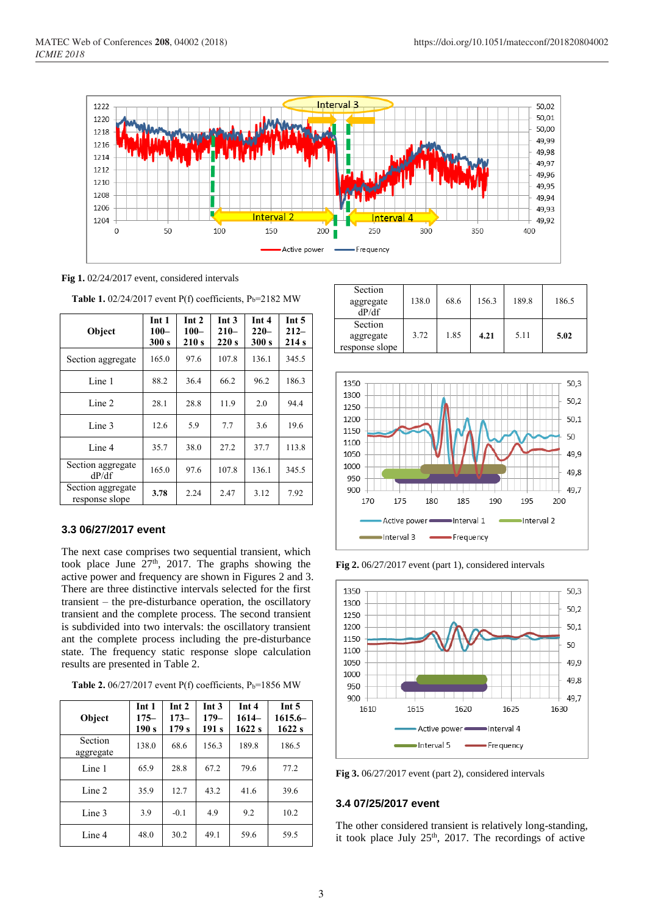

**Fig 1.** 02/24/2017 event, considered intervals

| Object                              | Int 1<br>$100 -$<br>300 s | Int 2<br>$100 -$<br>210s | Int <sub>3</sub><br>$210-$<br>220s | Int 4<br>$220 -$<br>300 s | Int $5$<br>$212-$<br>214s |
|-------------------------------------|---------------------------|--------------------------|------------------------------------|---------------------------|---------------------------|
| Section aggregate                   | 165.0                     | 97.6                     | 107.8                              | 136.1                     | 345.5                     |
| Line 1                              | 88.2                      | 36.4                     | 66.2                               | 96.2                      | 186.3                     |
| Line 2                              | 28.1                      | 28.8                     | 11.9                               | 2.0                       | 94.4                      |
| Line 3                              | 12.6                      | 5.9                      | 7.7                                | 3.6                       | 19.6                      |
| Line 4                              | 35.7                      | 38.0                     | 27.2                               | 37.7                      | 113.8                     |
| Section aggregate<br>dP/df          | 165.0                     | 97.6                     | 107.8                              | 136.1                     | 345.5                     |
| Section aggregate<br>response slope | 3.78                      | 2.24                     | 2.47                               | 3.12                      | 7.92                      |

**Table 1.**  $02/24/2017$  event P(f) coefficients, P<sub>b</sub>=2182 MW

#### **3.3 06/27/2017 event**

The next case comprises two sequential transient, which took place June  $27<sup>th</sup>$ , 2017. The graphs showing the active power and frequency are shown in Figures 2 and 3. There are three distinctive intervals selected for the first transient – the pre-disturbance operation, the oscillatory transient and the complete process. The second transient is subdivided into two intervals: the oscillatory transient ant the complete process including the pre-disturbance state. The frequency static response slope calculation results are presented in Table 2.

**Table 2.** 06/27/2017 event  $P(f)$  coefficients,  $P_b=1856$  MW

| Object               | Int 1<br>$175 -$<br>190 s | Int 2<br>$173-$<br>179s | Int <sub>3</sub><br>$179-$<br>191 <sub>s</sub> | Int <sub>4</sub><br>$1614-$<br>1622s | Int $5$<br>$1615.6-$<br>1622s |
|----------------------|---------------------------|-------------------------|------------------------------------------------|--------------------------------------|-------------------------------|
| Section<br>aggregate | 138.0                     | 68.6                    | 156.3                                          | 189.8                                | 186.5                         |
| Line 1               | 65.9                      | 28.8                    | 67.2                                           | 79.6                                 | 77.2                          |
| Line 2               | 35.9                      | 12.7                    | 43.2                                           | 41.6                                 | 39.6                          |
| Line 3               | 3.9                       | $-0.1$                  | 4.9                                            | 9.2                                  | 10.2                          |
| Line 4               | 48.0                      | 30.2                    | 49.1                                           | 59.6                                 | 59.5                          |

| Section<br>aggregate<br>dP/df          | 138.0 | 68.6 | 156.3 | 189.8 | 186.5 |
|----------------------------------------|-------|------|-------|-------|-------|
| Section<br>aggregate<br>response slope | 3.72  | 1.85 | 4.21  | 5.11  | 5.02  |



**Fig 2.** 06/27/2017 event (part 1), considered intervals



**Fig 3.** 06/27/2017 event (part 2), considered intervals

### **3.4 07/25/2017 event**

The other considered transient is relatively long-standing, it took place July  $25<sup>th</sup>$ , 2017. The recordings of active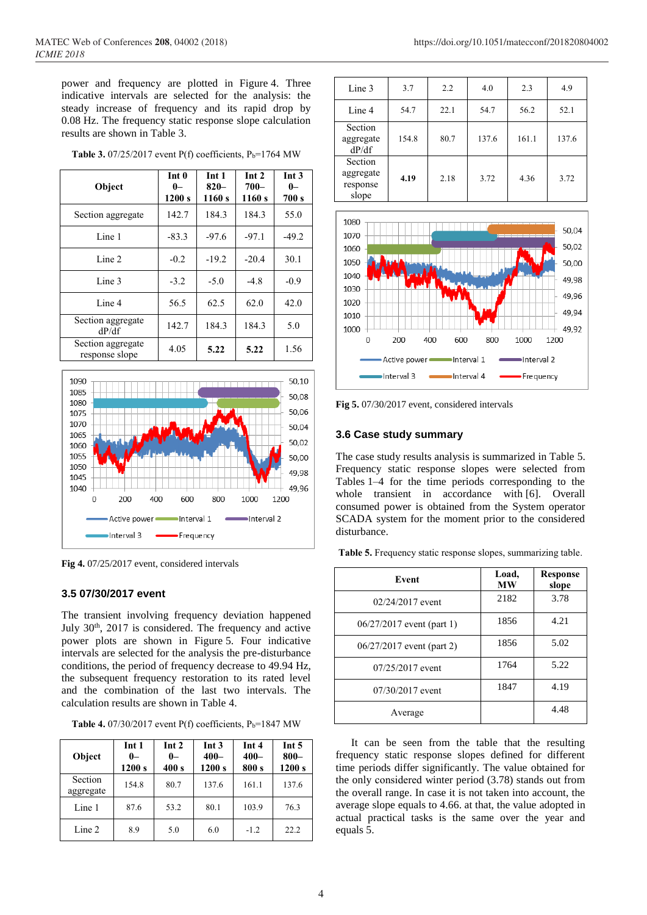power and frequency are plotted in Figure 4. Three indicative intervals are selected for the analysis: the steady increase of frequency and its rapid drop by 0.08 Hz. The frequency static response slope calculation results are shown in Table 3.

| Object                              | Int 0<br>$0-$<br>1200 s | Int 1<br>$820-$<br>1160s | Int 2<br>$700 -$<br>1160s | Int <sub>3</sub><br>$0-$<br>700 s |
|-------------------------------------|-------------------------|--------------------------|---------------------------|-----------------------------------|
| Section aggregate                   | 142.7                   | 184.3                    | 184.3                     | 55.0                              |
| Line 1                              | $-83.3$                 | $-97.6$                  | $-97.1$                   | $-49.2$                           |
| Line 2                              | $-0.2$                  | $-19.2$                  | $-20.4$                   | 30.1                              |
| Line 3                              | $-3.2$                  | $-5.0$                   | $-4.8$                    | $-0.9$                            |
| Line 4                              | 56.5                    | 62.5                     | 62.0                      | 42.0                              |
| Section aggregate<br>dP/df          | 142.7                   | 184.3                    | 184.3                     | 5.0                               |
| Section aggregate<br>response slope | 4.05                    | 5.22                     | 5.22                      | 1.56                              |

**Table 3.** 07/25/2017 event  $P(f)$  coefficients,  $P_b=1764$  MW



**Fig 4.** 07/25/2017 event, considered intervals

#### **3.5 07/30/2017 event**

The transient involving frequency deviation happened July  $30<sup>th</sup>$ ,  $2017$  is considered. The frequency and active power plots are shown in Figure 5. Four indicative intervals are selected for the analysis the pre-disturbance conditions, the period of frequency decrease to 49.94 Hz, the subsequent frequency restoration to its rated level and the combination of the last two intervals. The calculation results are shown in Table 4.

**Table 4.** 07/30/2017 event  $P(f)$  coefficients,  $P_b=1847$  MW

| Object               | Int 1<br>$0-$<br>1200 s | Int 2<br>$0-$<br>400 s | Int 3<br>$400 -$<br>1200 s | Int 4<br>$400 -$<br>800 s | Int <sub>5</sub><br>$800 -$<br>1200 s |
|----------------------|-------------------------|------------------------|----------------------------|---------------------------|---------------------------------------|
| Section<br>aggregate | 154.8                   | 80.7                   | 137.6                      | 161.1                     | 137.6                                 |
| Line 1               | 87.6                    | 53.2                   | 80.1                       | 103.9                     | 76.3                                  |
| Line 2               | 8.9                     | 5.0                    | 6.0                        | $-1.2$                    | 22.2                                  |

| Line 3                                    | 3.7   | 2.2  | 4.0   | 2.3   | 4.9   |
|-------------------------------------------|-------|------|-------|-------|-------|
| Line 4                                    | 54.7  | 22.1 | 54.7  | 56.2  | 52.1  |
| Section<br>aggregate<br>dP/df             | 154.8 | 80.7 | 137.6 | 161.1 | 137.6 |
| Section<br>aggregate<br>response<br>slope | 4.19  | 2.18 | 3.72  | 4.36  | 3.72  |



**Fig 5.** 07/30/2017 event, considered intervals

#### **3.6 Case study summary**

The case study results analysis is summarized in Table 5. Frequency static response slopes were selected from Tables 1–4 for the time periods corresponding to the whole transient in accordance with [6]. Overall consumed power is obtained from the System operator SCADA system for the moment prior to the considered disturbance.

**Table 5.** Frequency static response slopes, summarizing table.

| Event                       | Load,<br><b>MW</b> | <b>Response</b><br>slope |
|-----------------------------|--------------------|--------------------------|
| $02/24/2017$ event          | 2182               | 3.78                     |
| $06/27/2017$ event (part 1) | 1856               | 4.21                     |
| $06/27/2017$ event (part 2) | 1856               | 5.02                     |
| 07/25/2017 event            | 1764               | 5.22                     |
| 07/30/2017 event            | 1847               | 4.19                     |
| Average                     |                    | 4.48                     |

It can be seen from the table that the resulting frequency static response slopes defined for different time periods differ significantly. The value obtained for the only considered winter period (3.78) stands out from the overall range. In case it is not taken into account, the average slope equals to 4.66. at that, the value adopted in actual practical tasks is the same over the year and equals 5.